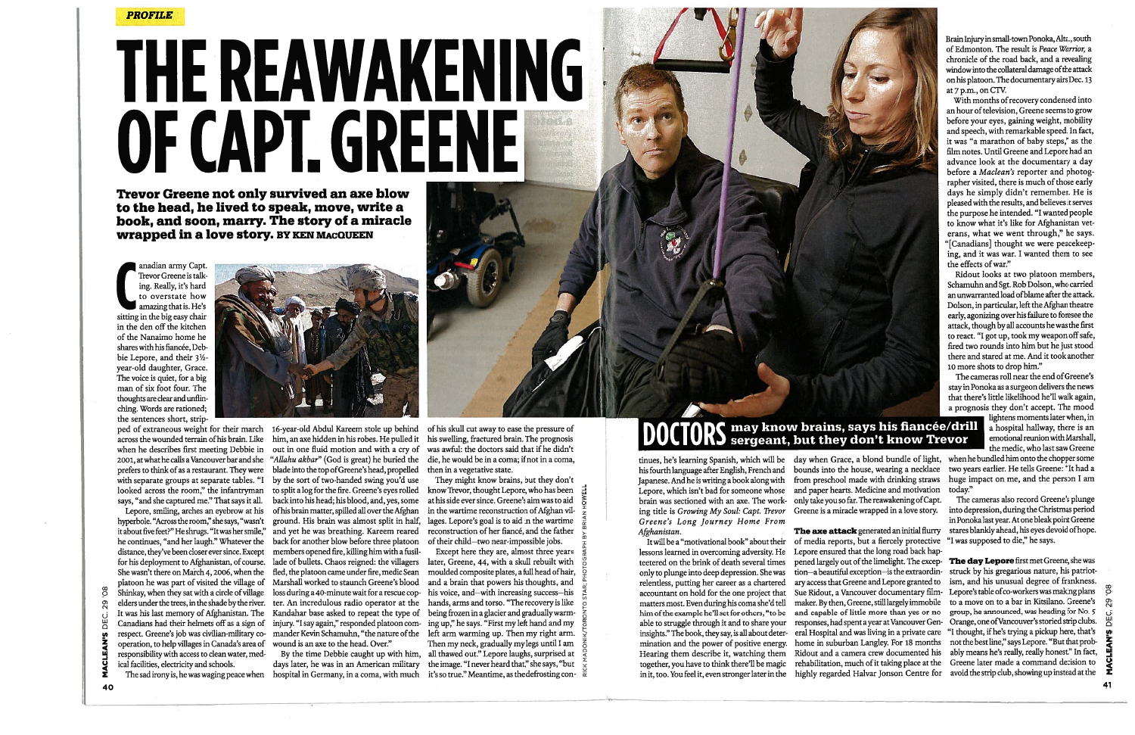PROFILE

Trevor Greene not only survived an axe blow to the head, he lived to speak, move, write a book, and soon, marry. The story of a miracle wrapped in <sup>a</sup> love story. BY KEN MAcQUEEN

amazing that is. He's sitting in the big easy chair in the den off the kitchen of the Nanaimo home he shares with his fiancée, Debbie Lepore, and their  $3\frac{1}{2}$ year-old daughter, Grace. The voice is quiet, for <sup>a</sup> big man of six foot four. The thoughts are clear and unflin ching. Words are rationed; the sentences short, strip

ped of extraneous weight for their march across the wounded terrain ofhis brain. Like when he describes first meeting Debbie in 2001, at what he calls <sup>a</sup> Vancouver bar and she looked across the room," the infantryman says, "and she captured me." That says it all.

Brain Injury in small-townPonoka, Alta., south of Edmonton. The result is Peace Warrior, <sup>a</sup> chronicle of the road back, and <sup>a</sup> revealing window into the collateral damage of the attack on his platoon. The documentary airs Dec. <sup>13</sup> at 7 p.m., on CTV.

Lepore, smiling, arches an eyebrow at his hyperbole. "Across the room," she says, "wasn't he continues, "and her laugh." Whatever the distance, they've been closer ever since. Except Shinkay, when they sat with a circle of village  $\rm U$  . It was his last memory of Afghanistan. The Kandahar base asked to repeat the type of being frozen in a glacier and gradually warm operation, to help villages in Canada's area of wound is an axe to the head. Over." responsibility with access to clean water, med ical facilities, electricity and schools.

### D **CTORS** may know brains, says his fiancée/drill a hospital hallway, there is an enotional reunion with Marshall,  $\frac{1}{2}$  a hospital hallway, there is an enotional reunion with Marshall,

# **THE REAWAKENING** OF CAPT. GREENE



With months ofrecovery condensed into an hour of television, Greene seems to grow before your eyes, gaining weight, mobility and speech, with remarkable speed. In fact, it was "a marathon of baby steps," as the ifim notes. Until Greene and Lepore had an advance look at the documentary <sup>a</sup> day before <sup>a</sup> Maclean's reporter and photog rapher visited, there is much of those early days he simply didn't remember. He is pleased with the results, and believes it serves the purpose he intended. "I wanted people to know what it's like for Afghanistan vet erans, what we went through," he says. "[Canadians] thought we were peacekeep ing, and it was war. <sup>I</sup> wanted them to see the effects of war."

prefers to think of as <sup>a</sup> restaurant. They were blade into the top ofGreene's head, propelled with separate groups at separate tables. "I by the sort of two-handed swing you'd use it about five feet?" He shrugs. "Itwas her smile," and yet he was breathing. Kareem reared platoon he was part of visited the village of Marshall worked to staunch Greene's blood and a brain that powers his thoughts, and elders under the trees, in the shade by the river. ter. An incredulous radio operator at the hands, arms and torso. "The recovery is like 16-year-old Abdul Kareem stole up behind him, an axe hidden in his robes. He pulled it his swelling, fractured brain. The prognosis out in one fluid motion and with <sup>a</sup> cry of was awful: the doctors said that if he didn't "Allahu akbar" (God is great) he buried the to split <sup>a</sup> log for the fire. Greene's eyes rolled back for another blow before three platoon members opened fire, killing him with <sup>a</sup> fusil

Ridout looks at two platoon members, Schamuhn and Sgt. Rob Dolson, who carried an unwarranted load ofblame after the attack. Dolson, in particular, left the Afghan theatre early, agonizing over his failure to foresee the attack, though by all accounts he was the first to react. "I got up, took my weapon off safe, fired two rounds into him but he just stood there and stared at me. And it took another <sup>10</sup> more shots to drop him."

It will be a "motivational book" about their of media reports, but <sup>a</sup> fiercely protective "I was supposed to die," he says. able to struggle through it and to share your responses, had spent a year at Vancouver Gen- Orange, one of Vancouver's storied strip clubs insights." The book, they say, is all about deter eral Hospital and was living in <sup>a</sup> private care "I thought, ifhe's trying <sup>a</sup> pickup here, that's The axe attack generated an initial flurry stares blankly ahead, his eyes devoid of hope. Lepore ensured that the long road back hap pened largely out of the limelight. The excep- The day Lepore first met Greene, she was tion—a beautiful exception—is the extraordin-<br>ary access that Greene and Lepore granted to ism, and his unusual degree of frankness. ary access that Greene and Lepore granted to Sue Ridout, <sup>a</sup> Vancouver documentary film- Lepore's table ofco-workers was making plans maker. By then, Greene, still largely immobile to a move on to a bar in Kitsilano. Greene's and capable of little more than yes or no group, he announced, was heading for No. 5 and capable of little more than yes or no. home in suburban Langley. For 18 months not the best line," says Lepore. "But that prob-<br>Ridout and a camera crew documented his ably means he's really, really honest." In fact, Ridout and a camera crew documented his rehabilitation, much of it taking place at the Greene later made <sup>a</sup> command decision to highly regarded Halvar Jonson Centre for avoid the strip club, showingup instead at the  $40$ 

 $\frac{8}{5}$ 29



from preschool made with drinking straws huge impact on me, and the pears and motivation its oday."

The cameras roll near the end ofGreene's stay in Ponoka as <sup>a</sup> surgeon delivers the news that there's little likelihood he'll walk again, <sup>a</sup> prognosis they don't accept. The mood

day when Grace, a blond bundle of light, when he bundled him onto the chopper some<br>bounds into the house, wearing a necklace two years earlier. He tells Greene: "It had a two years earlier. He tells Greene: "It had a<br>huge impact on me, and the person I am

for his deployment to Afghanistan, of course. lade of bullets. Chaos reigned: the villagers later, Greene, 44, with <sup>a</sup> skull rebuilt with <sup>~</sup> She wasn't there on March 4, 2006, when the fled, the platoon came under fire, medic Sean moulded composite plates, a full head of hair, ♀ Canadians had their helmets off as a sign of  $\;$  injury. "I say again," responded platoon com-  $\;$  ing up," he says. "First my left hand and my  $\;$   $\rm E$  $_{\rm M}$  respect. Greene's job was civilian-military co- mander Kevin Schamuhn, "the nature of the left arm warming up. Then my right arm.  $~\searrow$  $\bar{\bm z}$  The sad irony is, he was waging peace when hospital in Germany, in a coma, with much it's so true." Meantime, as the defrosting con-  $\bar{\bar{\rm a}}$ loss during a 40-minute wait for a rescue cop-  $\;$  his voice, and—with increasing success—his  $\;$   $\;$   $\;$   $\;$ By the time Debbie caught up with him, all thawed out." Lepore laughs, surprised at days later, he was in an American military  $\;$  the image. "I never heard that," she says, "but  $\;$   $\;$   $\;$   $\;$ Except here they are, almost three years Then my neck, gradually my legs until <sup>I</sup> am

brain was sectioned with an axe. The work-  $\,$  only take you so far. The reawakening of Capt.  $\,$  The cameras also record Greene's plunge ing title is Growing My Soul: Capt. Trevor Greene is <sup>a</sup> miracle wrapped in <sup>a</sup> love story. into depression, during the Christmas period inPonoka last year. At one bleak point Greene

of his skull cut away to ease the pressure of die, he would be in a coma; if not in a coma. then in <sup>a</sup> vegetative state.

back into his head; his blood, and, yes, some  $\quad$  at his side ever since. Greene's aim was to aid  $\quad \frac{3}{6}$ of his brain matter, spilled all over the Afghan  $\;$  in the wartime reconstruction of Afghan vil-  $\;$   $_{2}^+$ ground. His brain was almost split in half,  $\;$  lages. Lepore's goal is to aid in the wartime  $\;$   $_{\alpha}^{\infty}$ They might know brains, but they don't know Trevor, thought Lepore, who has been <sup>~</sup> reconstruction of her fiancé, and the father <sup>~</sup> of their child-two near-impossible jobs.

tinues, he's learning Spanish, which will be his fourth language after English, French and Japanese. And he is writing <sup>a</sup> book along with Lepore, which isn't bad for someone whose and paper hearts. Medicine and motivation today." Greene's Long Journey Home From Afghanistan.

 $e^x$   $e^x$ 

lessons learned in overcoming adversity. He teetered on the brink of death several times only to plunge into deep depression. She was relentless, putting her career as <sup>a</sup> chartered accountant on hold for the one project that matters most. Even during his coma she'd tell him of the example he'll set for others, "to be mination and the power of positive energy. Hearing them describe it, watching them together, you have to think there'll be magic in it, too. You feel it, even stronger later in the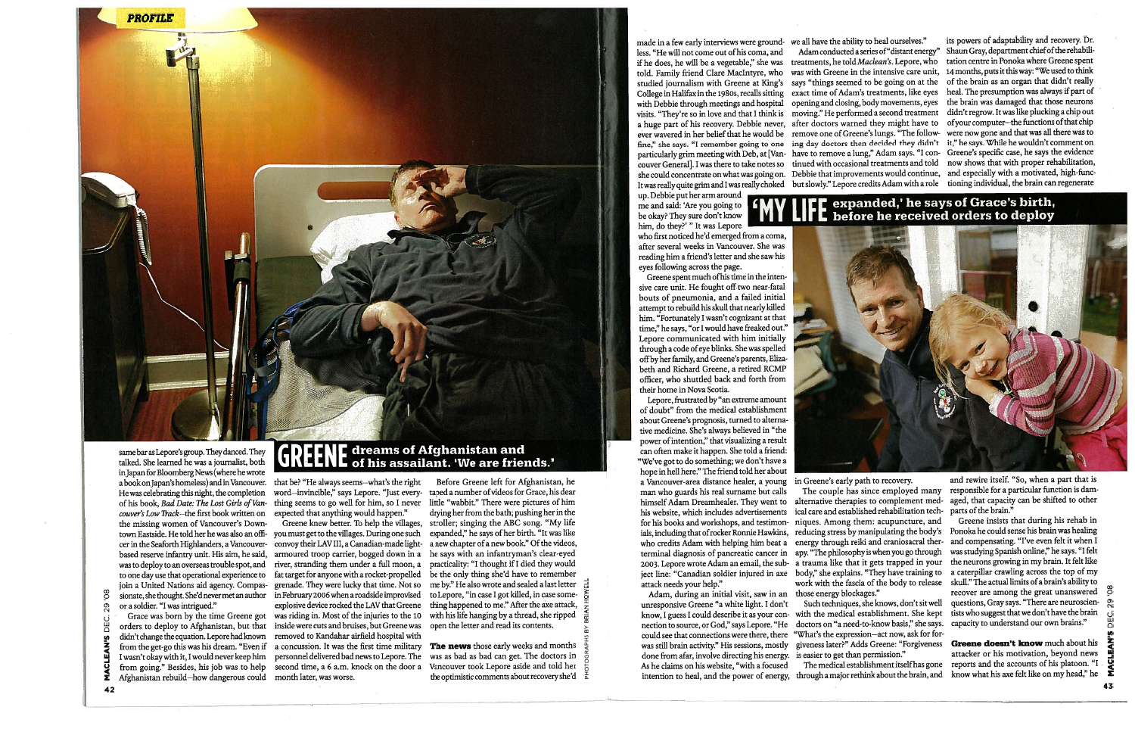cer inthe Seaforth Highianders, <sup>a</sup> Vancouver-convoy their LAy III, <sup>a</sup> Canadian-made light orders to deploy to Afghanistan, but that inside were cuts and bruises, but Greene was didn't change the equation. Lepore had known — removed to Kandahar airfield hospital with from the get-go this was his dream. "Even if <sup>a</sup> concussion. It was the first time military from going." Besides, his job was to help second time, <sup>a</sup> 6 a.m. knock on the door <sup>a</sup> Greene knew better. To help the villages, armoured troop carrier, bogged down in <sup>a</sup> river, stranding them under <sup>a</sup> full moon, <sup>a</sup> fat target for anyone with a rocket-propelled explosive device rocked the LAy that Greene was riding in. Most of the injuries to the 10

samebar as Lepore's group. They danced. They talked. She learned he was <sup>a</sup> journalist, both in Japan for Bloomberg News (where he wrote a book on Japan's homeless) and in Vancouver. He was celebrating this night, the completion of his book, *Bad Date: The Lost Girls of Van-* thing seems to go well for him, so I never little "wabbit." There were pictures of him couver's Low Track—the first book written on – expected that anything would happen." the missing women of Vancouver's Down town Eastside. He told her he was also an offi- you must get to the villages. During one such based reserve infantry unit. His aim, he said, was to deploy to anoverseas trouble spot, and to one day use that operational experience to join <sup>a</sup> United Nations aid agency. Compas grenade. They were lucky that time. Not so sionate, she thought. She'd never met an author in February <sup>2006</sup> when <sup>a</sup> roadside improvised or <sup>a</sup> soldier. "I was intrigued."

> The news those early weeks and months was as bad as bad can get. The doctors in Vancouver took Lepore aside and told her the optimistic comments about recovery she'd

made in a few early interviews were ground- we all have the ability to heal ourselves." less. "He will not come out of his coma, and told. Family friend Clare Maclntyre, who College in Halifax inthe 1980s, recalls sitting with Debbie through meetings and hospital visits. "They're so in love and that I think is <sup>a</sup> huge part of his recovery. Debbie never, ever wavered in her belief that he would be fine:' she says. "I remember going to one couver General]. I was there to take notes so she could concentrate on what was going on. It was really quite grim and I was really choked up. Debbie put her arm around.

Before Greene left for Afghanistan, he taped <sup>a</sup> number ofvideos for Grace, his dear dryingher from the bath; pushingher in the stroller; singing the ABC song. "My life expanded," he says of her birth. "It was like a new chapter of a new book." Of the videos, he says with an infantryman's clear-eyed practicality: "I thought ifI died they would be the only thing she'd have to remember me by." He also wrote and sealed <sup>a</sup> last letter to Lepore, "in case I got killed, in case some thing happened to me." After the axe attack, with his life hanging by <sup>a</sup> thread, she ripped open the letter and read its contents.

Lepore, frustrated by "an extreme amount of doubt" from the medical establishment about Greene's prognosis, turned to alterna tive medicine. She's always believed in "the power ofintention," that visualizing <sup>a</sup> result can often make it happen. She told <sup>a</sup> friend: "We've got to do something; we don't have <sup>a</sup> hope inhell here." The friend told her about <sup>a</sup> Vancouver-area distance healer, <sup>a</sup> young in Greene's early path to recovery. man who guards his real surname but calls himself Adam Dreamhealer. They went to

Adam, during an initial visit, saw in an unresponsive Greene "a white light. I don't know, I guess I could describe it as your con nection to source, or God," says Lepore. "He could see that connections were there, there was still brain activity." His sessions, mostly done from afar, involve directing his energy. As he claims on his website, "with <sup>a</sup> focused intention to heal, and the power of energy,

Such techniques, she knows, don't sit well with the medical establishment. She kept doctors on "a need-to-know basis," she says. "What's the expression—act now, ask for for giveness later?" Adds Greene: "Forgiveness is easier to get than permission."

The medical establishment itself has gone<br>through a major rethink about the brain, and

me and said: 'Are you going to be okay? They sure don't know him, do they?' "It was Lepore who first noticed he'd emerged from a coma, after several weeks in Vancouver. She was

reading him <sup>a</sup> friend's letter and she saw his eyes following across the page. Greene spent much of his time in the intensive care unit. He fought off two near-fatal bouts of pneumonia, and <sup>a</sup> failed initial attempt to rebuild his skull that nearly killed him. "Fortunately I wasn't cognizant at that time," he says, "or I would have freaked out." Lepore communicated with him initially through <sup>a</sup> code ofeye blinks. She was spelled

offby her family, and Greene's parents, Eliza beth and Richard Greene, <sup>a</sup> retired RCMP officer, who shuttled back and forth from their home in Nova Scotia.

> Greene doesn't know much about his attacker or his motivation, beyond news reports and the accounts of his platoon. "I know what his axe felt like on my head," he



0  $\mathbb{C}^{\mathsf{C}}$ 

>- 0, I a 0 c Ē c ד

Grace was born by the time Greene got <sup>I</sup> wasn't okay with it, <sup>I</sup> would never keep him personnel deliveredbad news to Lepore. The Afghanistan rebuild—how dangerous could month later, was worse L)  $\mathbf{I}$  . 0 In z w

## THE dreams of Afghanistan and **GREENE** of his assailant. 'We are friends.'

that be? "He always seems-what's the right word-invincible," says Lepore. "Just every-

his website, which includes advertisements for his books and workshops, and testimon ials, including that of rocker Ronnie Hawkins, who credits Adam with helping him beat <sup>a</sup> terminal diagnosis of pancreatic cancer in 2003. Lepore wrote Adam an email, the subattack needs your help."

exact time of Adam's treatments, like eyes opening and closing, body movements, eyes moving." He performed <sup>a</sup> second treatment remove one of Greene's lungs. "The follow tinued with occasional treatments and told

if he does, he will be a vegetable," she was treatments, he told Maclean's. Lepore, who tation centre in Ponoka where Greene spent studied journalism with Greene at King's says "things seemed to be going on at the of the brain as an organ that didn't really particularly grim meeting with Deb, at [Van have to remove <sup>a</sup> lung," Adam says. "I con Greene's specific case, he says the evidence Adam conducted a series of "distant energy" Shaun Gray, department chief of the rehabiliwas with Greene in the intensive care unit, <sup>14</sup> months, puts it this way: "We used to think after doctors warned they might have to  $\;$  of your computer—the functions of that chip ing day doctors then decided they didn't it," he says. While he wouldn't comment on Debbie that improvements would continue, and especially with a motivated, high-funcbut slowly." Lepore credits Adam with <sup>a</sup> role tioning individual, the brain can regenerate its powers of adaptability and recovery. Dr. heal. The presumption was always if part of the brain was damaged that those neurons didn't regrow. It was like plucking <sup>a</sup> chip out were now gone and that was all there was to now shows that with proper rehabilitation,

### **TICE** expanded,' he says of Grace's birth,<br>III L. before he received orders to deploy

The couple has since employed many alternative therapies to complement med ical care and established rehabilitation tech- parts of the brain." niques. Among them: acupuncture, and reducing stress by manipulating the body's apy. "The philosophy is when you go through those energy blockages."

ject line: "Canadian soldier injured in axe body," she explains. "They have training to <sup>a</sup> caterpillar crawling across the top of my energy through reiki and craniosacral ther and compensating. "I've even felt it when I <sup>a</sup> trauma like that it gets trapped in your the neurons growing in my brain. It felt like work with the fascia of the body to release —skull." The actual limits of a brain's ability to Greene insists that during his rehab in Ponoka he could sense his brain was healing was studying Spanish online," he says. "I felt recover are among the great unanswered questions, Gray says. "There are neuroscien- Q tists who suggest that we don't have the brain capacity to understand our own brains."

and rewire itself. "So, when <sup>a</sup> part that is responsible for <sup>a</sup> particular function is dam aged, that capacity can be shifted to other



-J U c I z